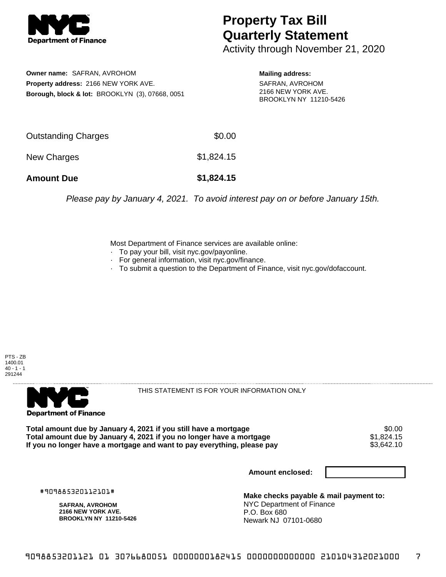

## **Property Tax Bill Quarterly Statement**

Activity through November 21, 2020

**Owner name:** SAFRAN, AVROHOM **Property address:** 2166 NEW YORK AVE. **Borough, block & lot:** BROOKLYN (3), 07668, 0051 **Mailing address:**

SAFRAN, AVROHOM 2166 NEW YORK AVE. BROOKLYN NY 11210-5426

| <b>Amount Due</b>   | \$1,824.15 |
|---------------------|------------|
| New Charges         | \$1,824.15 |
| Outstanding Charges | \$0.00     |

Please pay by January 4, 2021. To avoid interest pay on or before January 15th.

Most Department of Finance services are available online:

- · To pay your bill, visit nyc.gov/payonline.
- For general information, visit nyc.gov/finance.
- · To submit a question to the Department of Finance, visit nyc.gov/dofaccount.





THIS STATEMENT IS FOR YOUR INFORMATION ONLY

Total amount due by January 4, 2021 if you still have a mortgage \$0.00<br>Total amount due by January 4, 2021 if you no longer have a mortgage \$1.824.15 **Total amount due by January 4, 2021 if you no longer have a mortgage**  $$1,824.15$ **<br>If you no longer have a mortgage and want to pay everything, please pay**  $$3,642.10$ If you no longer have a mortgage and want to pay everything, please pay

**Amount enclosed:**

#909885320112101#

**SAFRAN, AVROHOM 2166 NEW YORK AVE. BROOKLYN NY 11210-5426**

**Make checks payable & mail payment to:** NYC Department of Finance P.O. Box 680 Newark NJ 07101-0680